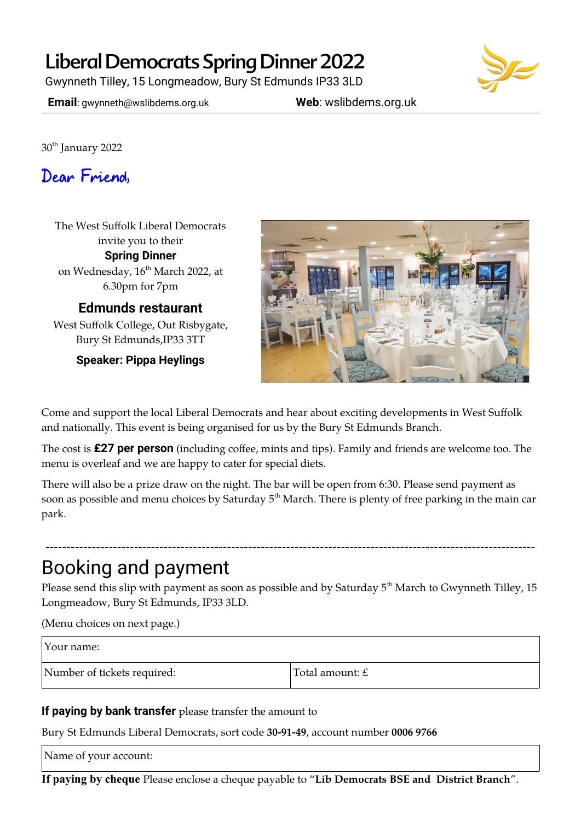## Liberal Democrats Spring Dinner 2022

Gwynneth Tilley, 15 Longmeadow, Bury St Edmunds IP33 3LD

**Email**: gwynneth@wslibdems.org.uk **Web**: wslibdems.org.uk

30<sup>th</sup> January 2022

Dear Friend,

The West Suffolk Liberal Democrats invite you to their **Spring Dinner** on Wednesday, 16<sup>th</sup> March 2022, at 6.30pm for 7pm

**Edmunds restaurant** West Suffolk College, Out Risbygate, Bury St Edmunds,IP33 3TT

**Speaker: Pippa Heylings**



Come and support the local Liberal Democrats and hear about exciting developments in West Suffolk and nationally. This event is being organised for us by the Bury St Edmunds Branch.

The cost is **£27 per person** (including coffee, mints and tips). Family and friends are welcome too. The menu is overleaf and we are happy to cater for special diets.

There will also be a prize draw on the night. The bar will be open from 6:30. Please send payment as soon as possible and menu choices by Saturday  $5<sup>th</sup>$  March. There is plenty of free parking in the main car park.

--------------------------------------------------------------------------------------------------------------------

# Booking and payment

Please send this slip with payment as soon as possible and by Saturday  $5<sup>th</sup>$  March to Gwynneth Tilley, 15 Longmeadow, Bury St Edmunds, IP33 3LD.

(Menu choices on next page.)

| Your name: |  |
|------------|--|
|------------|--|

Number of tickets required:  $\boxed{\text{Total amount: } \pounds}$ 

#### **If paying by bank transfer** please transfer the amount to

Bury St Edmunds Liberal Democrats, sort code **30-91-49**, account number **0006 9766**

Name of your account:

**If paying by cheque** Please enclose a cheque payable to "**Lib Democrats BSE and District Branch**".